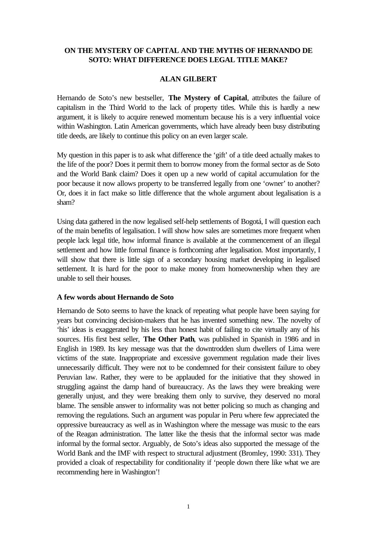# **ON THE MYSTERY OF CAPITAL AND THE MYTHS OF HERNANDO DE SOTO: WHAT DIFFERENCE DOES LEGAL TITLE MAKE?**

#### **ALAN GILBERT**

Hernando de Soto's new bestseller, **The Mystery of Capital**, attributes the failure of capitalism in the Third World to the lack of property titles. While this is hardly a new argument, it is likely to acquire renewed momentum because his is a very influential voice within Washington. Latin American governments, which have already been busy distributing title deeds, are likely to continue this policy on an even larger scale.

My question in this paper is to ask what difference the 'gift' of a title deed actually makes to the life of the poor? Does it permit them to borrow money from the formal sector as de Soto and the World Bank claim? Does it open up a new world of capital accumulation for the poor because it now allows property to be transferred legally from one 'owner' to another? Or, does it in fact make so little difference that the whole argument about legalisation is a sham?

Using data gathered in the now legalised self-help settlements of Bogotá, I will question each of the main benefits of legalisation. I will show how sales are sometimes more frequent when people lack legal title, how informal finance is available at the commencement of an illegal settlement and how little formal finance is forthcoming after legalisation. Most importantly, I will show that there is little sign of a secondary housing market developing in legalised settlement. It is hard for the poor to make money from homeownership when they are unable to sell their houses.

#### **A few words about Hernando de Soto**

Hernando de Soto seems to have the knack of repeating what people have been saying for years but convincing decision-makers that he has invented something new. The novelty of 'his' ideas is exaggerated by his less than honest habit of failing to cite virtually any of his sources. His first best seller, **The Other Path**, was published in Spanish in 1986 and in English in 1989. Its key message was that the downtrodden slum dwellers of Lima were victims of the state. Inappropriate and excessive government regulation made their lives unnecessarily difficult. They were not to be condemned for their consistent failure to obey Peruvian law. Rather, they were to be applauded for the initiative that they showed in struggling against the damp hand of bureaucracy. As the laws they were breaking were generally unjust, and they were breaking them only to survive, they deserved no moral blame. The sensible answer to informality was not better policing so much as changing and removing the regulations. Such an argument was popular in Peru where few appreciated the oppressive bureaucracy as well as in Washington where the message was music to the ears of the Reagan administration. The latter like the thesis that the informal sector was made informal by the formal sector. Arguably, de Soto's ideas also supported the message of the World Bank and the IMF with respect to structural adjustment (Bromley, 1990: 331). They provided a cloak of respectability for conditionality if 'people down there like what we are recommending here in Washington'!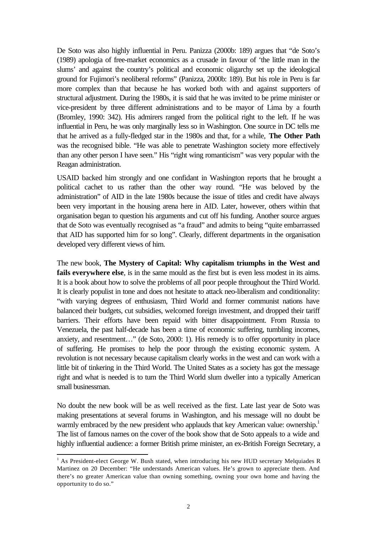De Soto was also highly influential in Peru. Panizza (2000b: 189) argues that "de Soto's (1989) apologia of free-market economics as a crusade in favour of 'the little man in the slums' and against the country's political and economic oligarchy set up the ideological ground for Fujimori's neoliberal reforms" (Panizza, 2000b: 189). But his role in Peru is far more complex than that because he has worked both with and against supporters of structural adjustment. During the 1980s, it is said that he was invited to be prime minister or vice-president by three different administrations and to be mayor of Lima by a fourth (Bromley, 1990: 342). His admirers ranged from the political right to the left. If he was influential in Peru, he was only marginally less so in Washington. One source in DC tells me that he arrived as a fully-fledged star in the 1980s and that, for a while, **The Other Path** was the recognised bible. "He was able to penetrate Washington society more effectively than any other person I have seen." His "right wing romanticism" was very popular with the Reagan administration.

USAID backed him strongly and one confidant in Washington reports that he brought a political cachet to us rather than the other way round. "He was beloved by the administration" of AID in the late 1980s because the issue of titles and credit have always been very important in the housing arena here in AID. Later, however, others within that organisation began to question his arguments and cut off his funding. Another source argues that de Soto was eventually recognised as "a fraud" and admits to being "quite embarrassed that AID has supported him for so long". Clearly, different departments in the organisation developed very different views of him.

The new book, **The Mystery of Capital: Why capitalism triumphs in the West and fails everywhere else**, is in the same mould as the first but is even less modest in its aims. It is a book about how to solve the problems of all poor people throughout the Third World. It is clearly populist in tone and does not hesitate to attack neo-liberalism and conditionality: "with varying degrees of enthusiasm, Third World and former communist nations have balanced their budgets, cut subsidies, welcomed foreign investment, and dropped their tariff barriers. Their efforts have been repaid with bitter disappointment. From Russia to Venezuela, the past half-decade has been a time of economic suffering, tumbling incomes, anxiety, and resentment…" (de Soto, 2000: 1). His remedy is to offer opportunity in place of suffering. He promises to help the poor through the existing economic system. A revolution is not necessary because capitalism clearly works in the west and can work with a little bit of tinkering in the Third World. The United States as a society has got the message right and what is needed is to turn the Third World slum dweller into a typically American small businessman.

No doubt the new book will be as well received as the first. Late last year de Soto was making presentations at several forums in Washington, and his message will no doubt be warmly embraced by the new president who applauds that key American value: ownership.<sup>1</sup> The list of famous names on the cover of the book show that de Soto appeals to a wide and highly influential audience: a former British prime minister, an ex-British Foreign Secretary, a

<sup>&</sup>lt;sup>1</sup> As President-elect George W. Bush stated, when introducing his new HUD secretary Melquiades R Martinez on 20 December: "He understands American values. He's grown to appreciate them. And there's no greater American value than owning something, owning your own home and having the opportunity to do so."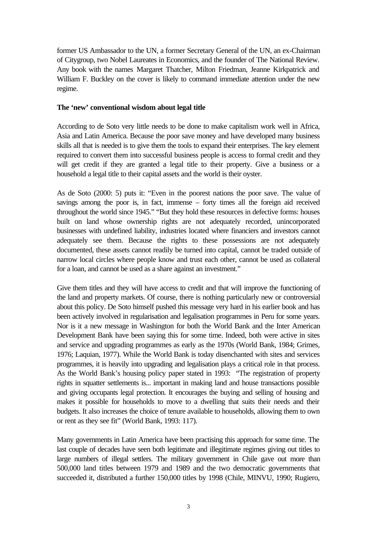former US Ambassador to the UN, a former Secretary General of the UN, an ex-Chairman of Citygroup, two Nobel Laureates in Economics, and the founder of The National Review. Any book with the names Margaret Thatcher, Milton Friedman, Jeanne Kirkpatrick and William F. Buckley on the cover is likely to command immediate attention under the new regime.

### **The 'new' conventional wisdom about legal title**

According to de Soto very little needs to be done to make capitalism work well in Africa, Asia and Latin America. Because the poor save money and have developed many business skills all that is needed is to give them the tools to expand their enterprises. The key element required to convert them into successful business people is access to formal credit and they will get credit if they are granted a legal title to their property. Give a business or a household a legal title to their capital assets and the world is their oyster.

As de Soto (2000: 5) puts it: "Even in the poorest nations the poor save. The value of savings among the poor is, in fact, immense – forty times all the foreign aid received throughout the world since 1945." "But they hold these resources in defective forms: houses built on land whose ownership rights are not adequately recorded, unincorporated businesses with undefined liability, industries located where financiers and investors cannot adequately see them. Because the rights to these possessions are not adequately documented, these assets cannot readily be turned into capital, cannot be traded outside of narrow local circles where people know and trust each other, cannot be used as collateral for a loan, and cannot be used as a share against an investment."

Give them titles and they will have access to credit and that will improve the functioning of the land and property markets. Of course, there is nothing particularly new or controversial about this policy. De Soto himself pushed this message very hard in his earlier book and has been actively involved in regularisation and legalisation programmes in Peru for some years. Nor is it a new message in Washington for both the World Bank and the Inter American Development Bank have been saying this for some time. Indeed, both were active in sites and service and upgrading programmes as early as the 1970s (World Bank, 1984; Grimes, 1976; Laquian, 1977). While the World Bank is today disenchanted with sites and services programmes, it is heavily into upgrading and legalisation plays a critical role in that process. As the World Bank's housing policy paper stated in 1993: "The registration of property rights in squatter settlements is... important in making land and house transactions possible and giving occupants legal protection. It encourages the buying and selling of housing and makes it possible for households to move to a dwelling that suits their needs and their budgets. It also increases the choice of tenure available to households, allowing them to own or rent as they see fit" (World Bank, 1993: 117).

Many governments in Latin America have been practising this approach for some time. The last couple of decades have seen both legitimate and illegitimate regimes giving out titles to large numbers of illegal settlers. The military government in Chile gave out more than 500,000 land titles between 1979 and 1989 and the two democratic governments that succeeded it, distributed a further 150,000 titles by 1998 (Chile, MINVU, 1990; Rugiero,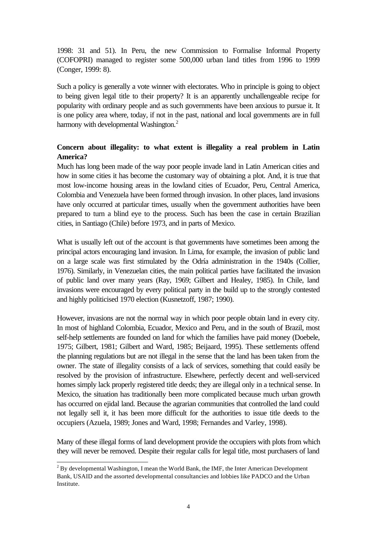1998: 31 and 51). In Peru, the new Commission to Formalise Informal Property (COFOPRI) managed to register some 500,000 urban land titles from 1996 to 1999 (Conger, 1999: 8).

Such a policy is generally a vote winner with electorates. Who in principle is going to object to being given legal title to their property? It is an apparently unchallengeable recipe for popularity with ordinary people and as such governments have been anxious to pursue it. It is one policy area where, today, if not in the past, national and local governments are in full harmony with developmental Washington.<sup>2</sup>

# **Concern about illegality: to what extent is illegality a real problem in Latin America?**

Much has long been made of the way poor people invade land in Latin American cities and how in some cities it has become the customary way of obtaining a plot. And, it is true that most low-income housing areas in the lowland cities of Ecuador, Peru, Central America, Colombia and Venezuela have been formed through invasion. In other places, land invasions have only occurred at particular times, usually when the government authorities have been prepared to turn a blind eye to the process. Such has been the case in certain Brazilian cities, in Santiago (Chile) before 1973, and in parts of Mexico.

What is usually left out of the account is that governments have sometimes been among the principal actors encouraging land invasion. In Lima, for example, the invasion of public land on a large scale was first stimulated by the Odría administration in the 1940s (Collier, 1976). Similarly, in Venezuelan cities, the main political parties have facilitated the invasion of public land over many years (Ray, 1969; Gilbert and Healey, 1985). In Chile, land invasions were encouraged by every political party in the build up to the strongly contested and highly politicised 1970 election (Kusnetzoff, 1987; 1990).

However, invasions are not the normal way in which poor people obtain land in every city. In most of highland Colombia, Ecuador, Mexico and Peru, and in the south of Brazil, most self-help settlements are founded on land for which the families have paid money (Doebele, 1975; Gilbert, 1981; Gilbert and Ward, 1985; Beijaard, 1995). These settlements offend the planning regulations but are not illegal in the sense that the land has been taken from the owner. The state of illegality consists of a lack of services, something that could easily be resolved by the provision of infrastructure. Elsewhere, perfectly decent and well-serviced homes simply lack properly registered title deeds; they are illegal only in a technical sense. In Mexico, the situation has traditionally been more complicated because much urban growth has occurred on ejidal land. Because the agrarian communities that controlled the land could not legally sell it, it has been more difficult for the authorities to issue title deeds to the occupiers (Azuela, 1989; Jones and Ward, 1998; Fernandes and Varley, 1998).

Many of these illegal forms of land development provide the occupiers with plots from which they will never be removed. Despite their regular calls for legal title, most purchasers of land

 $2^{2}$  By developmental Washington, I mean the World Bank, the IMF, the Inter American Development Bank, USAID and the assorted developmental consultancies and lobbies like PADCO and the Urban Institute.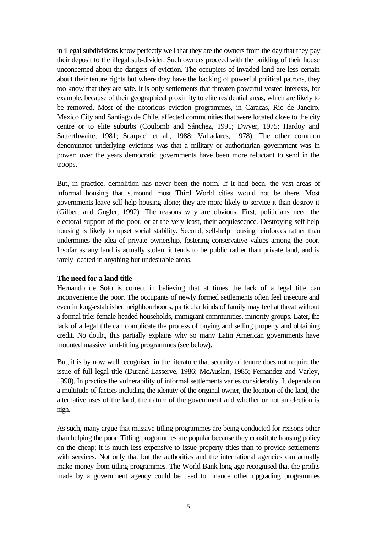in illegal subdivisions know perfectly well that they are the owners from the day that they pay their deposit to the illegal sub-divider. Such owners proceed with the building of their house unconcerned about the dangers of eviction. The occupiers of invaded land are less certain about their tenure rights but where they have the backing of powerful political patrons, they too know that they are safe. It is only settlements that threaten powerful vested interests, for example, because of their geographical proximity to elite residential areas, which are likely to be removed. Most of the notorious eviction programmes, in Caracas, Rio de Janeiro, Mexico City and Santiago de Chile, affected communities that were located close to the city centre or to elite suburbs (Coulomb and Sánchez, 1991; Dwyer, 1975; Hardoy and Satterthwaite, 1981; Scarpaci et al., 1988; Valladares, 1978). The other common denominator underlying evictions was that a military or authoritarian government was in power; over the years democratic governments have been more reluctant to send in the troops.

But, in practice, demolition has never been the norm. If it had been, the vast areas of informal housing that surround most Third World cities would not be there. Most governments leave self-help housing alone; they are more likely to service it than destroy it (Gilbert and Gugler, 1992). The reasons why are obvious. First, politicians need the electoral support of the poor, or at the very least, their acquiescence. Destroying self-help housing is likely to upset social stability. Second, self-help housing reinforces rather than undermines the idea of private ownership, fostering conservative values among the poor. Insofar as any land is actually stolen, it tends to be public rather than private land, and is rarely located in anything but undesirable areas.

### **The need for a land title**

Hernando de Soto is correct in believing that at times the lack of a legal title can inconvenience the poor. The occupants of newly formed settlements often feel insecure and even in long-established neighbourhoods, particular kinds of family may feel at threat without a formal title: female-headed households, immigrant communities, minority groups. Later, the lack of a legal title can complicate the process of buying and selling property and obtaining credit. No doubt, this partially explains why so many Latin American governments have mounted massive land-titling programmes (see below).

But, it is by now well recognised in the literature that security of tenure does not require the issue of full legal title (Durand-Lasserve, 1986; McAuslan, 1985; Fernandez and Varley, 1998). In practice the vulnerability of informal settlements varies considerably. It depends on a multitude of factors including the identity of the original owner, the location of the land, the alternative uses of the land, the nature of the government and whether or not an election is nigh.

As such, many argue that massive titling programmes are being conducted for reasons other than helping the poor. Titling programmes are popular because they constitute housing policy on the cheap; it is much less expensive to issue property titles than to provide settlements with services. Not only that but the authorities and the international agencies can actually make money from titling programmes. The World Bank long ago recognised that the profits made by a government agency could be used to finance other upgrading programmes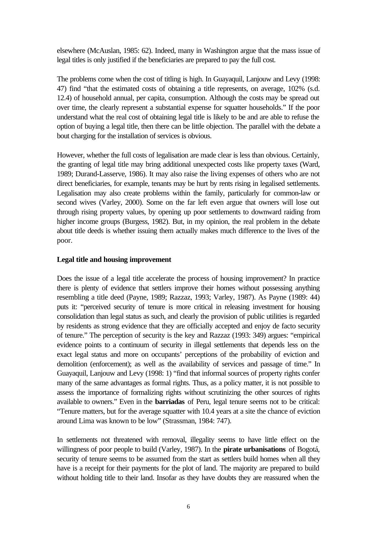elsewhere (McAuslan, 1985: 62). Indeed, many in Washington argue that the mass issue of legal titles is only justified if the beneficiaries are prepared to pay the full cost.

The problems come when the cost of titling is high. In Guayaquil, Lanjouw and Levy (1998: 47) find "that the estimated costs of obtaining a title represents, on average, 102% (s.d. 12.4) of household annual, per capita, consumption. Although the costs may be spread out over time, the clearly represent a substantial expense for squatter households." If the poor understand what the real cost of obtaining legal title is likely to be and are able to refuse the option of buying a legal title, then there can be little objection. The parallel with the debate a bout charging for the installation of services is obvious.

However, whether the full costs of legalisation are made clear is less than obvious. Certainly, the granting of legal title may bring additional unexpected costs like property taxes (Ward, 1989; Durand-Lasserve, 1986). It may also raise the living expenses of others who are not direct beneficiaries, for example, tenants may be hurt by rents rising in legalised settlements. Legalisation may also create problems within the family, particularly for common-law or second wives (Varley, 2000). Some on the far left even argue that owners will lose out through rising property values, by opening up poor settlements to downward raiding from higher income groups (Burgess, 1982). But, in my opinion, the real problem in the debate about title deeds is whether issuing them actually makes much difference to the lives of the poor.

### **Legal title and housing improvement**

Does the issue of a legal title accelerate the process of housing improvement? In practice there is plenty of evidence that settlers improve their homes without possessing anything resembling a title deed (Payne, 1989; Razzaz, 1993; Varley, 1987). As Payne (1989: 44) puts it: "perceived security of tenure is more critical in releasing investment for housing consolidation than legal status as such, and clearly the provision of public utilities is regarded by residents as strong evidence that they are officially accepted and enjoy de facto security of tenure." The perception of security is the key and Razzaz (1993: 349) argues: "empirical evidence points to a continuum of security in illegal settlements that depends less on the exact legal status and more on occupants' perceptions of the probability of eviction and demolition (enforcement); as well as the availability of services and passage of time." In Guayaquil, Lanjouw and Levy (1998: 1) "find that informal sources of property rights confer many of the same advantages as formal rights. Thus, as a policy matter, it is not possible to assess the importance of formalizing rights without scrutinizing the other sources of rights available to owners." Even in the **barriadas** of Peru, legal tenure seems not to be critical: "Tenure matters, but for the average squatter with 10.4 years at a site the chance of eviction around Lima was known to be low" (Strassman, 1984: 747).

In settlements not threatened with removal, illegality seems to have little effect on the willingness of poor people to build (Varley, 1987). In the **pirate urbanisations** of Bogotá, security of tenure seems to be assumed from the start as settlers build homes when all they have is a receipt for their payments for the plot of land. The majority are prepared to build without holding title to their land. Insofar as they have doubts they are reassured when the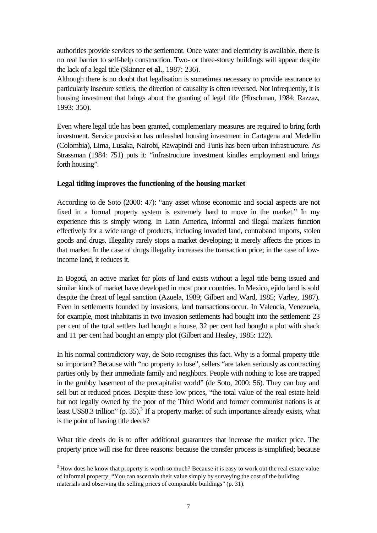authorities provide services to the settlement. Once water and electricity is available, there is no real barrier to self-help construction. Two- or three-storey buildings will appear despite the lack of a legal title (Skinner **et al.**, 1987: 236).

Although there is no doubt that legalisation is sometimes necessary to provide assurance to particularly insecure settlers, the direction of causality is often reversed. Not infrequently, it is housing investment that brings about the granting of legal title (Hirschman, 1984; Razzaz, 1993: 350).

Even where legal title has been granted, complementary measures are required to bring forth investment. Service provision has unleashed housing investment in Cartagena and Medellín (Colombia), Lima, Lusaka, Nairobi, Rawapindi and Tunis has been urban infrastructure. As Strassman (1984: 751) puts it: "infrastructure investment kindles employment and brings forth housing".

#### **Legal titling improves the functioning of the housing market**

According to de Soto (2000: 47): "any asset whose economic and social aspects are not fixed in a formal property system is extremely hard to move in the market." In my experience this is simply wrong. In Latin America, informal and illegal markets function effectively for a wide range of products, including invaded land, contraband imports, stolen goods and drugs. Illegality rarely stops a market developing; it merely affects the prices in that market. In the case of drugs illegality increases the transaction price; in the case of lowincome land, it reduces it.

In Bogotá, an active market for plots of land exists without a legal title being issued and similar kinds of market have developed in most poor countries. In Mexico, ejido land is sold despite the threat of legal sanction (Azuela, 1989; Gilbert and Ward, 1985; Varley, 1987). Even in settlements founded by invasions, land transactions occur. In Valencia, Venezuela, for example, most inhabitants in two invasion settlements had bought into the settlement: 23 per cent of the total settlers had bought a house, 32 per cent had bought a plot with shack and 11 per cent had bought an empty plot (Gilbert and Healey, 1985: 122).

In his normal contradictory way, de Soto recognises this fact. Why is a formal property title so important? Because with "no property to lose", sellers "are taken seriously as contracting parties only by their immediate family and neighbors. People with nothing to lose are trapped in the grubby basement of the precapitalist world" (de Soto, 2000: 56). They can buy and sell but at reduced prices. Despite these low prices, "the total value of the real estate held but not legally owned by the poor of the Third World and former communist nations is at least US\$8.3 trillion" (p. 35).<sup>3</sup> If a property market of such importance already exists, what is the point of having title deeds?

What title deeds do is to offer additional guarantees that increase the market price. The property price will rise for three reasons: because the transfer process is simplified; because

 $3$  How does he know that property is worth so much? Because it is easy to work out the real estate value of informal property: "You can ascertain their value simply by surveying the cost of the building materials and observing the selling prices of comparable buildings" (p. 31).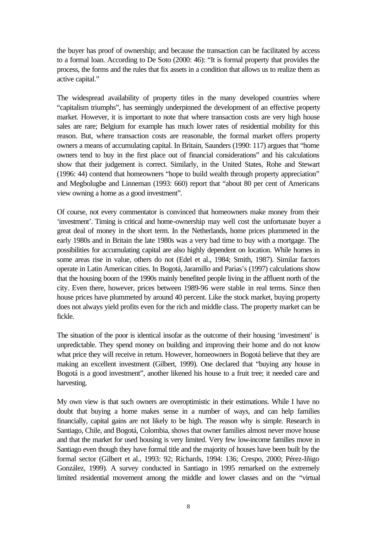the buyer has proof of ownership; and because the transaction can be facilitated by access to a formal loan. According to De Soto (2000: 46): "It is formal property that provides the process, the forms and the rules that fix assets in a condition that allows us to realize them as active capital."

The widespread availability of property titles in the many developed countries where "capitalism triumphs", has seemingly underpinned the development of an effective property market. However, it is important to note that where transaction costs are very high house sales are rare; Belgium for example has much lower rates of residential mobility for this reason. But, where transaction costs are reasonable, the formal market offers property owners a means of accumulating capital. In Britain, Saunders (1990: 117) argues that "home owners tend to buy in the first place out of financial considerations" and his calculations show that their judgement is correct. Similarly, in the United States, Rohe and Stewart (1996: 44) contend that homeowners "hope to build wealth through property appreciation" and Megbolugbe and Linneman (1993: 660) report that "about 80 per cent of Americans view owning a home as a good investment".

Of course, not every commentator is convinced that homeowners make money from their 'investment'. Timing is critical and home-ownership may well cost the unfortunate buyer a great deal of money in the short term. In the Netherlands, home prices plummeted in the early 1980s and in Britain the late 1980s was a very bad time to buy with a mortgage. The possibilities for accumulating capital are also highly dependent on location. While homes in some areas rise in value, others do not (Edel et al., 1984; Smith, 1987). Similar factors operate in Latin American cities. In Bogotá, Jaramillo and Parias's (1997) calculations show that the housing boom of the 1990s mainly benefited people living in the affluent north of the city. Even there, however, prices between 1989-96 were stable in real terms. Since then house prices have plummeted by around 40 percent. Like the stock market, buying property does not always yield profits even for the rich and middle class. The property market can be fickle.

The situation of the poor is identical insofar as the outcome of their housing 'investment' is unpredictable. They spend money on building and improving their home and do not know what price they will receive in return. However, homeowners in Bogotá believe that they are making an excellent investment (Gilbert, 1999). One declared that "buying any house in Bogotá is a good investment", another likened his house to a fruit tree; it needed care and harvesting.

My own view is that such owners are overoptimistic in their estimations. While I have no doubt that buying a home makes sense in a number of ways, and can help families financially, capital gains are not likely to be high. The reason why is simple. Research in Santiago, Chile, and Bogotá, Colombia, shows that owner families almost never move house and that the market for used housing is very limited. Very few low-income families move in Santiago even though they have formal title and the majority of houses have been built by the formal sector (Gilbert et al., 1993: 92; Richards, 1994: 136; Crespo, 2000; Pérez-Iñigo González, 1999). A survey conducted in Santiago in 1995 remarked on the extremely limited residential movement among the middle and lower classes and on the "virtual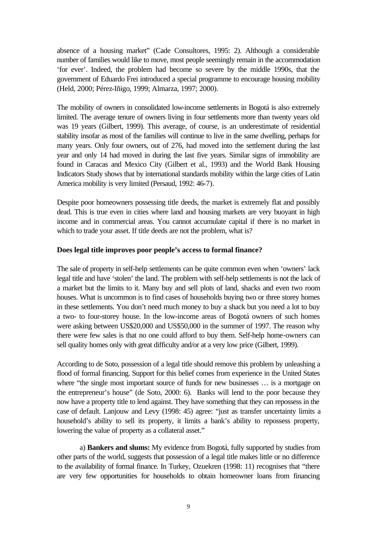absence of a housing market" (Cade Consultores, 1995: 2). Although a considerable number of families would like to move, most people seemingly remain in the accommodation 'for ever'. Indeed, the problem had become so severe by the middle 1990s, that the government of Eduardo Frei introduced a special programme to encourage housing mobility (Held, 2000; Pérez-Iñigo, 1999; Almarza, 1997; 2000).

The mobility of owners in consolidated low-income settlements in Bogotá is also extremely limited. The average tenure of owners living in four settlements more than twenty years old was 19 years (Gilbert, 1999). This average, of course, is an underestimate of residential stability insofar as most of the families will continue to live in the same dwelling, perhaps for many years. Only four owners, out of 276, had moved into the settlement during the last year and only 14 had moved in during the last five years. Similar signs of immobility are found in Caracas and Mexico City (Gilbert et al., 1993) and the World Bank Housing Indicators Study shows that by international standards mobility within the large cities of Latin America mobility is very limited (Persaud, 1992: 46-7).

Despite poor homeowners possessing title deeds, the market is extremely flat and possibly dead. This is true even in cities where land and housing markets are very buoyant in high income and in commercial areas. You cannot accumulate capital if there is no market in which to trade your asset. If title deeds are not the problem, what is?

### **Does legal title improves poor people's access to formal finance?**

The sale of property in self-help settlements can be quite common even when 'owners' lack legal title and have 'stolen' the land. The problem with self-help settlements is not the lack of a market but the limits to it. Many buy and sell plots of land, shacks and even two room houses. What is uncommon is to find cases of households buying two or three storey homes in these settlements. You don't need much money to buy a shack but you need a lot to buy a two- to four-storey house. In the low-income areas of Bogotá owners of such homes were asking between US\$20,000 and US\$50,000 in the summer of 1997. The reason why there were few sales is that no one could afford to buy them. Self-help home-owners can sell quality homes only with great difficulty and/or at a very low price (Gilbert, 1999).

According to de Soto, possession of a legal title should remove this problem by unleashing a flood of formal financing. Support for this belief comes from experience in the United States where "the single most important source of funds for new businesses ... is a mortgage on the entrepreneur's house" (de Soto, 2000: 6). Banks will lend to the poor because they now have a property title to lend against. They have something that they can repossess in the case of default. Lanjouw and Levy (1998: 45) agree: "just as transfer uncertainty limits a household's ability to sell its property, it limits a bank's ability to repossess property, lowering the value of property as a collateral asset."

a) **Bankers and slums:** My evidence from Bogotá, fully supported by studies from other parts of the world, suggests that possession of a legal title makes little or no difference to the availability of formal finance. In Turkey, Ozuekren (1998: 11) recognises that "there are very few opportunities for households to obtain homeowner loans from financing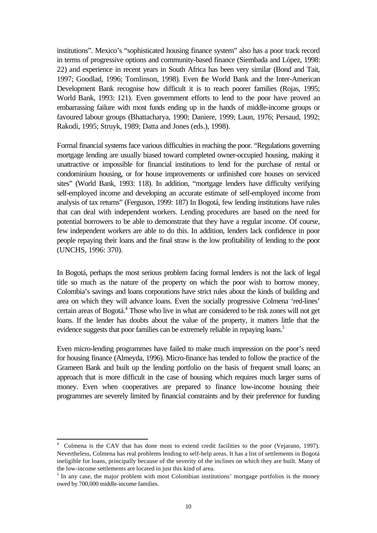institutions". Mexico's "sophisticated housing finance system" also has a poor track record in terms of progressive options and community-based finance (Siembada and López, 1998: 22) and experience in recent years in South Africa has been very similar (Bond and Tait, 1997; Goodlad, 1996; Tomlinson, 1998). Even the World Bank and the Inter-American Development Bank recognise how difficult it is to reach poorer families (Rojas, 1995; World Bank, 1993: 121). Even government efforts to lend to the poor have proved an embarrassing failure with most funds ending up in the hands of middle-income groups or favoured labour groups (Bhattacharya, 1990; Daniere, 1999; Laun, 1976; Persaud, 1992; Rakodi, 1995; Struyk, 1989; Datta and Jones (eds.), 1998).

Formal financial systems face various difficulties in reaching the poor. "Regulations governing mortgage lending are usually biased toward completed owner-occupied housing, making it unattractive or impossible for financial institutions to lend for the purchase of rental or condominium housing, or for house improvements or unfinished core houses on serviced sites" (World Bank, 1993: 118). In addition, "mortgage lenders have difficulty verifying self-employed income and developing an accurate estimate of self-employed income from analysis of tax returns" (Ferguson, 1999: 187) In Bogotá, few lending institutions have rules that can deal with independent workers. Lending procedures are based on the need for potential borrowers to be able to demonstrate that they have a regular income. Of course, few independent workers are able to do this. In addition, lenders lack confidence in poor people repaying their loans and the final straw is the low profitability of lending to the poor (UNCHS, 1996: 370).

In Bogotá, perhaps the most serious problem facing formal lenders is not the lack of legal title so much as the nature of the property on which the poor wish to borrow money. Colombia's savings and loans corporations have strict rules about the kinds of building and area on which they will advance loans. Even the socially progressive Colmena 'red-lines' certain areas of Bogotá.<sup>4</sup> Those who live in what are considered to be risk zones will not get loans. If the lender has doubts about the value of the property, it matters little that the evidence suggests that poor families can be extremely reliable in repaying loans.<sup>5</sup>

Even micro-lending programmes have failed to make much impression on the poor's need for housing finance (Almeyda, 1996). Micro-finance has tended to follow the practice of the Grameen Bank and built up the lending portfolio on the basis of frequent small loans; an approach that is more difficult in the case of housing which requires much larger sums of money. Even when cooperatives are prepared to finance low-income housing their programmes are severely limited by financial constraints and by their preference for funding

<sup>4</sup> Colmena is the CAV that has done most to extend credit facilities to the poor (Vejarano, 1997). Nevertheless, Colmena has real problems lending to self-help areas. It has a list of settlements in Bogotá ineligible for loans, principally because of the severity of the inclines on which they are built. Many of the low-income settlements are located in just this kind of area.

 $<sup>5</sup>$  In any case, the major problem with most Colombian institutions' mortgage portfolios is the money</sup> owed by 700,000 middle-income families.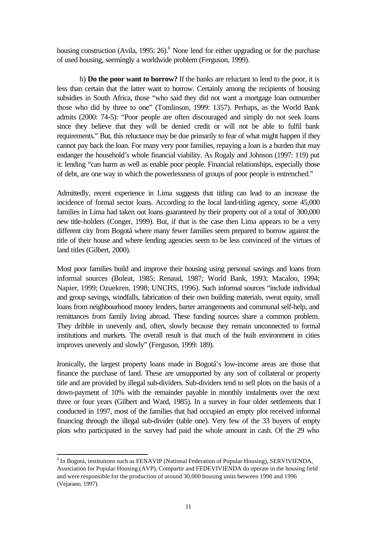housing construction (Avila, 1995: 26).<sup>6</sup> None lend for either upgrading or for the purchase of used housing, seemingly a worldwide problem (Ferguson, 1999).

b) **Do the poor want to borrow?** If the banks are reluctant to lend to the poor, it is less than certain that the latter want to borrow. Certainly among the recipients of housing subsidies in South Africa, those "who said they did not want a mortgage loan outnumber those who did by three to one" (Tomlinson, 1999: 1357). Perhaps, as the World Bank admits (2000: 74-5): "Poor people are often discouraged and simply do not seek loans since they believe that they will be denied credit or will not be able to fulfil bank requirements." But, this reluctance may be due primarily to fear of what might happen if they cannot pay back the loan. For many very poor families, repaying a loan is a burden that may endanger the household's whole financial viability. As Rogaly and Johnson (1997: 119) put it: lending "can harm as well as enable poor people. Financial relationships, especially those of debt, are one way in which the powerlessness of groups of poor people is entrenched."

Admittedly, recent experience in Lima suggests that titling can lead to an increase the incidence of formal sector loans. According to the local land-titling agency, some 45,000 families in Lima had taken out loans guaranteed by their property out of a total of 300,000 new title-holders (Conger, 1999). But, if that is the case then Lima appears to be a very different city from Bogotá where many fewer families seem prepared to borrow against the title of their house and where lending agencies seem to be less convinced of the virtues of land titles (Gilbert, 2000).

Most poor families build and improve their housing using personal savings and loans from informal sources (Boleat, 1985; Renaud, 1987; World Bank, 1993; Macaloo, 1994; Napier, 1999; Ozuekren, 1998; UNCHS, 1996). Such informal sources "include individual and group savings, windfalls, fabrication of their own building materials, sweat equity, small loans from neighbourhood money lenders, barter arrangements and communal self-help, and remittances from family living abroad. These funding sources share a common problem. They dribble in unevenly and, often, slowly because they remain unconnected to formal institutions and markets. The overall result is that much of the built environment in cities improves unevenly and slowly" (Ferguson, 1999: 189).

Ironically, the largest property loans made in Bogotá's low-income areas are those that finance the purchase of land. These are unsupported by any sort of collateral or property title and are provided by illegal sub-dividers. Sub-dividers tend to sell plots on the basis of a down-payment of 10% with the remainder payable in monthly instalments over the next three or four years (Gilbert and Ward, 1985). In a survey in four older settlements that I conducted in 1997, most of the families that had occupied an empty plot received informal financing through the illegal sub-divider (table one). Very few of the 33 buyers of empty plots who participated in the survey had paid the whole amount in cash. Of the 29 who

<sup>&</sup>lt;sup>6</sup> In Bogotá, institutions such as FENAVIP (National Federation of Popular Housing), SERVIVIENDA, Association for Popular Housing (AVP), Compartir and FEDEVIVIENDA do operate in the housing field and were responsible for the production of around 30,000 housing units between 1990 and 1996 (Vejarano, 1997).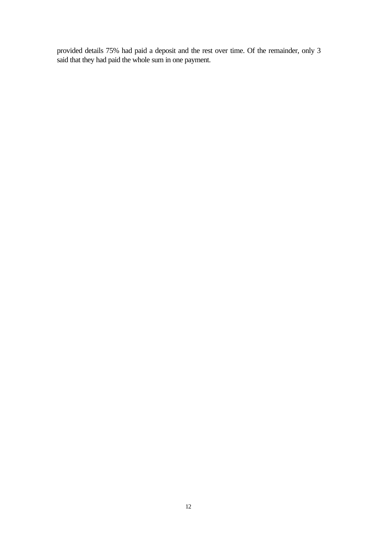provided details 75% had paid a deposit and the rest over time. Of the remainder, only 3 said that they had paid the whole sum in one payment.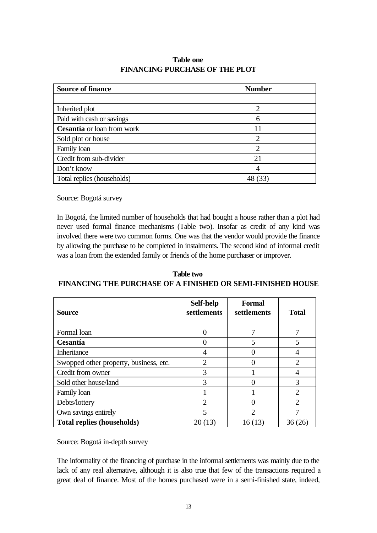| <b>Source of finance</b>   | <b>Number</b> |
|----------------------------|---------------|
|                            |               |
| Inherited plot             | 2             |
| Paid with cash or savings  |               |
| Cesantía or loan from work | 11            |
| Sold plot or house         |               |
| Family loan                |               |
| Credit from sub-divider    | 21            |
| Don't know                 |               |
| Total replies (households) |               |

# **Table one FINANCING PURCHASE OF THE PLOT**

Source: Bogotá survey

In Bogotá, the limited number of households that had bought a house rather than a plot had never used formal finance mechanisms (Table two). Insofar as credit of any kind was involved there were two common forms. One was that the vendor would provide the finance by allowing the purchase to be completed in instalments. The second kind of informal credit was a loan from the extended family or friends of the home purchaser or improver.

**Table two FINANCING THE PURCHASE OF A FINISHED OR SEMI-FINISHED HOUSE**

| <b>Source</b>                          | Self-help<br>settlements | <b>Formal</b><br>settlements | <b>Total</b>                |
|----------------------------------------|--------------------------|------------------------------|-----------------------------|
|                                        |                          |                              |                             |
| Formal loan                            |                          |                              |                             |
| Cesantía                               |                          | 5                            |                             |
| Inheritance                            | 4                        |                              |                             |
| Swopped other property, business, etc. | 2                        |                              | $\overline{2}$              |
| Credit from owner                      | 3                        |                              | 4                           |
| Sold other house/land                  | 3                        |                              | 3                           |
| Family loan                            |                          |                              | $\mathcal{D}_{\cdot}$       |
| Debts/lottery                          | $\overline{2}$           |                              | $\mathcal{D}_{\mathcal{L}}$ |
| Own savings entirely                   |                          | ∍                            |                             |
| <b>Total replies (households)</b>      | 20(13)                   | 16(13)                       | 36 (26                      |

Source: Bogotá in-depth survey

The informality of the financing of purchase in the informal settlements was mainly due to the lack of any real alternative, although it is also true that few of the transactions required a great deal of finance. Most of the homes purchased were in a semi-finished state, indeed,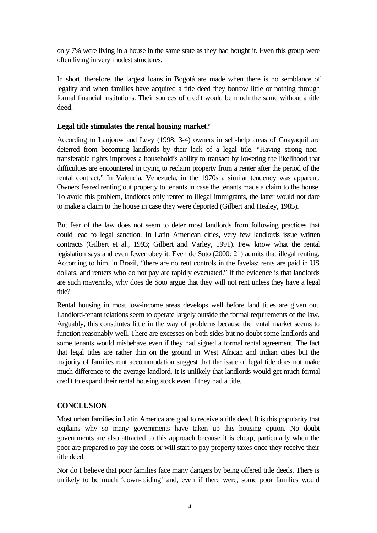only 7% were living in a house in the same state as they had bought it. Even this group were often living in very modest structures.

In short, therefore, the largest loans in Bogotá are made when there is no semblance of legality and when families have acquired a title deed they borrow little or nothing through formal financial institutions. Their sources of credit would be much the same without a title deed.

## **Legal title stimulates the rental housing market?**

According to Lanjouw and Levy (1998: 3-4) owners in self-help areas of Guayaquil are deterred from becoming landlords by their lack of a legal title. "Having strong nontransferable rights improves a household's ability to transact by lowering the likelihood that difficulties are encountered in trying to reclaim property from a renter after the period of the rental contract." In Valencia, Venezuela, in the 1970s a similar tendency was apparent. Owners feared renting out property to tenants in case the tenants made a claim to the house. To avoid this problem, landlords only rented to illegal immigrants, the latter would not dare to make a claim to the house in case they were deported (Gilbert and Healey, 1985).

But fear of the law does not seem to deter most landlords from following practices that could lead to legal sanction. In Latin American cities, very few landlords issue written contracts (Gilbert et al., 1993; Gilbert and Varley, 1991). Few know what the rental legislation says and even fewer obey it. Even de Soto (2000: 21) admits that illegal renting. According to him, in Brazil, "there are no rent controls in the favelas; rents are paid in US dollars, and renters who do not pay are rapidly evacuated." If the evidence is that landlords are such mavericks, why does de Soto argue that they will not rent unless they have a legal title?

Rental housing in most low-income areas develops well before land titles are given out. Landlord-tenant relations seem to operate largely outside the formal requirements of the law. Arguably, this constitutes little in the way of problems because the rental market seems to function reasonably well. There are excesses on both sides but no doubt some landlords and some tenants would misbehave even if they had signed a formal rental agreement. The fact that legal titles are rather thin on the ground in West African and Indian cities but the majority of families rent accommodation suggest that the issue of legal title does not make much difference to the average landlord. It is unlikely that landlords would get much formal credit to expand their rental housing stock even if they had a title.

# **CONCLUSION**

Most urban families in Latin America are glad to receive a title deed. It is this popularity that explains why so many governments have taken up this housing option. No doubt governments are also attracted to this approach because it is cheap, particularly when the poor are prepared to pay the costs or will start to pay property taxes once they receive their title deed.

Nor do I believe that poor families face many dangers by being offered title deeds. There is unlikely to be much 'down-raiding' and, even if there were, some poor families would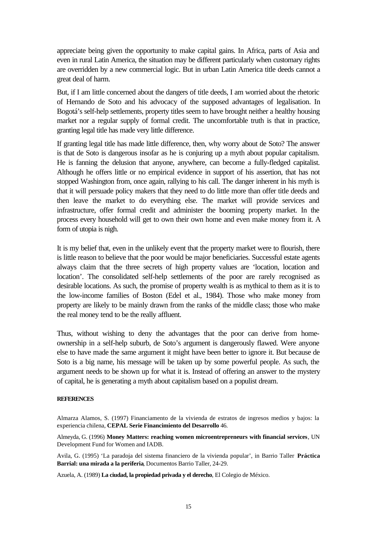appreciate being given the opportunity to make capital gains. In Africa, parts of Asia and even in rural Latin America, the situation may be different particularly when customary rights are overridden by a new commercial logic. But in urban Latin America title deeds cannot a great deal of harm.

But, if I am little concerned about the dangers of title deeds, I am worried about the rhetoric of Hernando de Soto and his advocacy of the supposed advantages of legalisation. In Bogotá's self-help settlements, property titles seem to have brought neither a healthy housing market nor a regular supply of formal credit. The uncomfortable truth is that in practice, granting legal title has made very little difference.

If granting legal title has made little difference, then, why worry about de Soto? The answer is that de Soto is dangerous insofar as he is conjuring up a myth about popular capitalism. He is fanning the delusion that anyone, anywhere, can become a fully-fledged capitalist. Although he offers little or no empirical evidence in support of his assertion, that has not stopped Washington from, once again, rallying to his call. The danger inherent in his myth is that it will persuade policy makers that they need to do little more than offer title deeds and then leave the market to do everything else. The market will provide services and infrastructure, offer formal credit and administer the booming property market. In the process every household will get to own their own home and even make money from it. A form of utopia is nigh.

It is my belief that, even in the unlikely event that the property market were to flourish, there is little reason to believe that the poor would be major beneficiaries. Successful estate agents always claim that the three secrets of high property values are 'location, location and location'. The consolidated self-help settlements of the poor are rarely recognised as desirable locations. As such, the promise of property wealth is as mythical to them as it is to the low-income families of Boston (Edel et al., 1984). Those who make money from property are likely to be mainly drawn from the ranks of the middle class; those who make the real money tend to be the really affluent.

Thus, without wishing to deny the advantages that the poor can derive from homeownership in a self-help suburb, de Soto's argument is dangerously flawed. Were anyone else to have made the same argument it might have been better to ignore it. But because de Soto is a big name, his message will be taken up by some powerful people. As such, the argument needs to be shown up for what it is. Instead of offering an answer to the mystery of capital, he is generating a myth about capitalism based on a populist dream.

#### **REFERENCES**

Almarza Alamos, S. (1997) Financiamento de la vivienda de estratos de ingresos medios y bajos: la experiencia chilena, **CEPAL Serie Financimiento del Desarrollo** 46.

Almeyda, G. (1996) **Money Matters: reaching women microentrepreneurs with financial services**, UN Development Fund for Women and IADB.

Avila, G. (1995) 'La paradoja del sistema financiero de la vivienda popular', in Barrio Taller **Práctica Barrial: una mirada a la periferia**, Documentos Barrio Taller, 24-29.

Azuela, A. (1989) **La ciudad, la propiedad privada y el derecho**, El Colegio de México.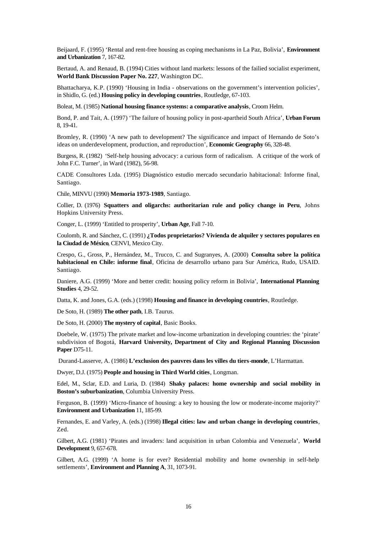Beijaard, F. (1995) 'Rental and rent-free housing as coping mechanisms in La Paz, Bolivia', **Environment and Urbanization** 7, 167-82.

Bertaud, A. and Renaud, B. (1994) Cities without land markets: lessons of the failied socialist experiment, **World Bank Discussion Paper No. 227**, Washington DC.

Bhattacharya, K.P. (1990) 'Housing in India - observations on the government's intervention policies', in Shidlo, G. (ed.) **Housing policy in developing countries**, Routledge, 67-103.

Boleat, M. (1985) **National housing finance systems: a comparative analysis**, Croom Helm.

Bond, P. and Tait, A. (1997) 'The failure of housing policy in post-apartheid South Africa', **Urban Forum** 8, 19-41.

Bromley, R. (1990) 'A new path to development? The significance and impact of Hernando de Soto's ideas on underdevelopment, production, and reproduction', **Economic Geography** 66, 328-48.

Burgess, R. (1982) 'Self-help housing advocacy: a curious form of radicalism. A critique of the work of John F.C. Turner', in Ward (1982), 56-98.

CADE Consultores Ltda. (1995) Diagnóstico estudio mercado secundario habitacional: Informe final, Santiago.

Chile, MINVU (1990) **Memoria 1973-1989**, Santiago.

Collier, D. (1976) **Squatters and oligarchs: authoritarian rule and policy change in Peru**, Johns Hopkins University Press.

Conger, L. (1999) 'Entitled to prosperity', **Urban Age**, Fall 7-10.

Coulomb, R. and Sánchez, C. (1991) **¿Todos proprietarios? Vivienda de alquiler y sectores populares en la Ciudad de México**, CENVI, Mexico City.

Crespo, G., Gross, P., Hernández, M., Trucco, C. and Sugranyes, A. (2000) **Consulta sobre la política habitacional en Chile: informe final**, Oficina de desarrollo urbano para Sur América, Rudo, USAID. Santiago.

Daniere, A.G. (1999) 'More and better credit: housing policy reform in Bolivia', **International Planning Studies** 4, 29-52.

Datta, K. and Jones, G.A. (eds.) (1998) **Housing and finance in developing countries**, Routledge.

De Soto, H. (1989) **The other path**, I.B. Taurus.

De Soto, H. (2000) **The mystery of capital**, Basic Books.

Doebele, W. (1975) The private market and low-income urbanization in developing countries: the 'pirate' subdivision of Bogotá, **Harvard University, Department of City and Regional Planning Discussion Paper** D75-11.

Durand-Lasserve, A. (1986) **L'exclusion des pauvres dans les villes du tiers-monde**, L'Harmattan.

Dwyer, D.J. (1975) **People and housing in Third World cities**, Longman.

Edel, M., Sclar, E.D. and Luria, D. (1984) **Shaky palaces: home ownership and social mobility in Boston's suburbanization**, Columbia University Press.

Ferguson, B. (1999) 'Micro-finance of housing: a key to housing the low or moderate-income majority?' **Environment and Urbanization** 11, 185-99.

Fernandes, E. and Varley, A. (eds.) (1998) **Illegal cities: law and urban change in developing countries**, Zed.

Gilbert, A.G. (1981) 'Pirates and invaders: land acquisition in urban Colombia and Venezuela', **World Development** 9, 657-678.

Gilbert, A.G. (1999) 'A home is for ever? Residential mobility and home ownership in self-help settlements', **Environment and Planning A**, 31, 1073-91.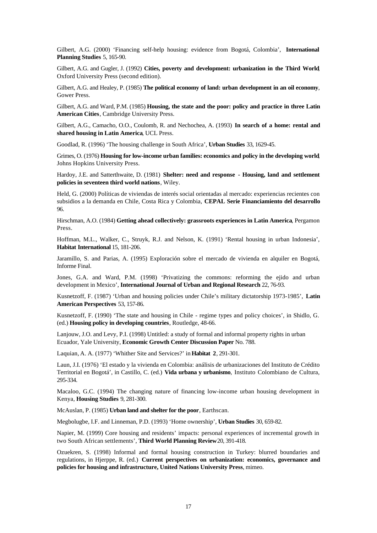Gilbert, A.G. (2000) 'Financing self-help housing: evidence from Bogotá, Colombia', **International Planning Studies** 5, 165-90.

Gilbert, A.G. and Gugler, J. (1992) **Cities, poverty and development: urbanization in the Third World**, Oxford University Press (second edition).

Gilbert, A.G. and Healey, P. (1985) **The political economy of land: urban development in an oil economy**, Gower Press.

Gilbert, A.G. and Ward, P.M. (1985) **Housing, the state and the poor: policy and practice in three Latin American Cities**, Cambridge University Press.

Gilbert, A.G., Camacho, O.O., Coulomb, R. and Nechochea, A. (1993) **In search of a home: rental and shared housing in Latin America**, UCL Press.

Goodlad, R. (1996) 'The housing challenge in South Africa', **Urban Studies** 33, 1629-45.

Grimes, O. (1976) **Housing for low-income urban families: economics and policy in the developing world**, Johns Hopkins University Press.

Hardoy, J.E. and Satterthwaite, D. (1981) **Shelter: need and response - Housing, land and settlement policies in seventeen third world nations**, Wiley.

Held, G. (2000) Políticas de viviendas de interés social orientadas al mercado: experiencias recientes con subsidios a la demanda en Chile, Costa Rica y Colombia, **CEPAL Serie Financiamiento del desarrollo** 96.

Hirschman, A.O. (1984) **Getting ahead collectively: grassroots experiences in Latin America**, Pergamon Press.

Hoffman, M.L., Walker, C., Struyk, R.J. and Nelson, K. (1991) 'Rental housing in urban Indonesia', **Habitat International** 15, 181-206.

Jaramillo, S. and Parias, A. (1995) Exploración sobre el mercado de vivienda en alquiler en Bogotá, Informe Final.

Jones, G.A. and Ward, P.M. (1998) 'Privatizing the commons: reforming the ejido and urban development in Mexico', **International Journal of Urban and Regional Research** 22, 76-93.

Kusnetzoff, F. (1987) 'Urban and housing policies under Chile's military dictatorship 1973-1985', **Latin American Perspectives** 53, 157-86.

Kusnetzoff, F. (1990) 'The state and housing in Chile - regime types and policy choices', in Shidlo, G. (ed.) **Housing policy in developing countries**, Routledge, 48-66.

Lanjouw, J.O. and Levy, P.I. (1998) Untitled: a study of formal and informal property rights in urban Ecuador, Yale University, **Economic Growth Center Discussion Paper** No. 788.

Laquian, A. A. (1977) 'Whither Site and Services?' in **Habitat 2**, 291-301.

Laun, J.I. (1976) 'El estado y la vivienda en Colombia: análisis de urbanizaciones del Instituto de Crédito Territorial en Bogotá', in Castillo, C. (ed.) **Vida urbana y urbanismo**, Instituto Colombiano de Cultura, 295-334.

Macaloo, G.C. (1994) The changing nature of financing low-income urban housing development in Kenya, **Housing Studies** 9, 281-300.

McAuslan, P. (1985) **Urban land and shelter for the poor**, Earthscan.

Megbolugbe, I.F. and Linneman, P.D. (1993) 'Home ownership', **Urban Studies** 30, 659-82.

Napier, M. (1999) Core housing and residents' impacts: personal experiences of incremental growth in two South African settlements', **Third World Planning Review** 20, 391-418.

Ozuekren, S. (1998) Informal and formal housing construction in Turkey: blurred boundaries and regulations, in Hjerppe, R. (ed.) **Current perspectives on urbanization: economics, governance and policies for housing and infrastructure, United Nations University Press**, mimeo.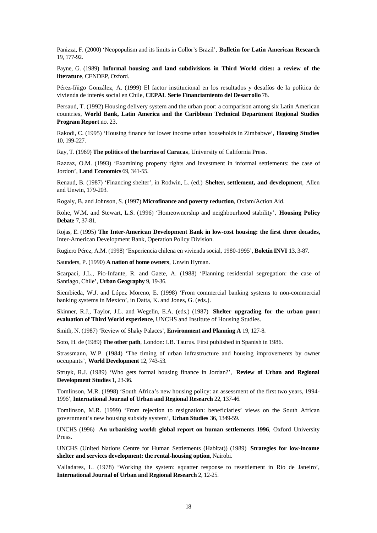Panizza, F. (2000) 'Neopopulism and its limits in Collor's Brazil', **Bulletin for Latin American Research** 19, 177-92.

Payne, G. (1989) **Informal housing and land subdivisions in Third World cities: a review of the literature**, CENDEP, Oxford.

Pérez-Iñigo González, A. (1999) El factor institucional en los resultados y desafíos de la política de vivienda de interés social en Chile, **CEPAL Serie Financiamiento del Desarrollo** 78.

Persaud, T. (1992) Housing delivery system and the urban poor: a comparison among six Latin American countries, **World Bank, Latin America and the Caribbean Technical Department Regional Studies Program Report** no. 23.

Rakodi, C. (1995) 'Housing finance for lower income urban households in Zimbabwe', **Housing Studies** 10, 199-227.

Ray, T. (1969) **The politics of the barrios of Caracas**, University of California Press.

Razzaz, O.M. (1993) 'Examining property rights and investment in informal settlements: the case of Jordon', **Land Economics** 69, 341-55.

Renaud, B. (1987) 'Financing shelter', in Rodwin, L. (ed.) **Shelter, settlement, and development**, Allen and Unwin, 179-203.

Rogaly, B. and Johnson, S. (1997) **Microfinance and poverty reduction**, Oxfam/Action Aid.

Rohe, W.M. and Stewart, L.S. (1996) 'Homeownership and neighbourhood stability', **Housing Policy Debate** 7, 37-81.

Rojas, E. (1995) **The Inter-American Development Bank in low-cost housing: the first three decades,** Inter-American Development Bank, Operation Policy Division.

Rugiero Pérez, A.M. (1998) 'Experiencia chilena en vivienda social, 1980-1995', **Boletín INVI** 13, 3-87.

Saunders, P. (1990) **A nation of home owners**, Unwin Hyman.

Scarpaci, J.L., Pio-Infante, R. and Gaete, A. (1988) 'Planning residential segregation: the case of Santiago, Chile', **Urban Geography** 9, 19-36.

Siembieda, W.J. and López Moreno, E. (1998) 'From commercial banking systems to non-commercial banking systems in Mexico', in Datta, K. and Jones, G. (eds.).

Skinner, R.J., Taylor, J.L. and Wegelin, E.A. (eds.) (1987) **Shelter upgrading for the urban poor: evaluation of Third World experience**, UNCHS and Institute of Housing Studies.

Smith, N. (1987) 'Review of Shaky Palaces', **Environment and Planning A** 19, 127-8.

Soto, H. de (1989) **The other path**, London: I.B. Taurus. First published in Spanish in 1986.

Strassmann, W.P. (1984) 'The timing of urban infrastructure and housing improvements by owner occupants', **World Development** 12, 743-53.

Struyk, R.J. (1989) 'Who gets formal housing finance in Jordan?', **Review of Urban and Regional Development Studies** 1, 23-36.

Tomlinson, M.R. (1998) 'South Africa's new housing policy: an assessment of the first two years, 1994- 1996', **International Journal of Urban and Regional Research** 22, 137-46.

Tomlinson, M.R. (1999) 'From rejection to resignation: beneficiaries' views on the South African government's new housing subsidy system', **Urban Studies** 36, 1349-59.

UNCHS (1996) **An urbanising world: global report on human settlements 1996**, Oxford University Press.

UNCHS (United Nations Centre for Human Settlements (Habitat)) (1989) **Strategies for low-income shelter and services development: the rental-housing option**, Nairobi.

Valladares, L. (1978) 'Working the system: squatter response to resettlement in Rio de Janeiro', **International Journal of Urban and Regional Research** 2, 12-25.